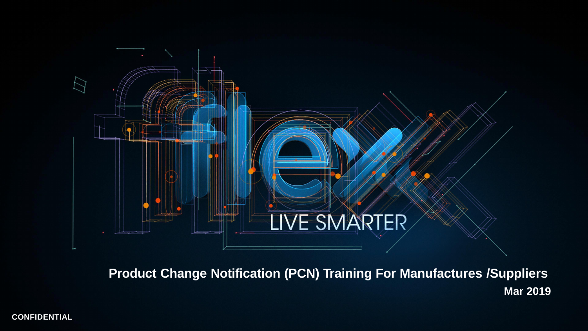**CONFIDENTIAL**

**Mar 2019**



**Product Change Notification (PCN) Training For Manufactures /Suppliers**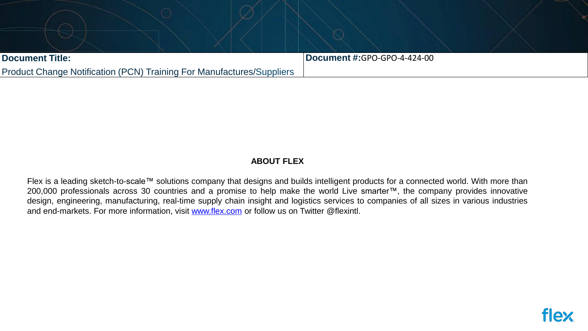| <b>Document Title:</b>                                                       |  | Document #:GPO-GPO-4-4 |  |
|------------------------------------------------------------------------------|--|------------------------|--|
| <b>Product Change Notification (PCN) Training For Manufactures/Suppliers</b> |  |                        |  |





### **ABOUT FLEX**

Flex is a leading sketch-to-scale™ solutions company that designs and builds intelligent products for a connected world. With more than 200,000 professionals across 30 countries and a promise to help make the world Live smarter™, the company provides innovative design, engineering, manufacturing, real-time supply chain insight and logistics services to companies of all sizes in various industries and end-markets. For more information, visit [www.flex.com](http://www.flex.com/) or follow us on Twitter @flexintl.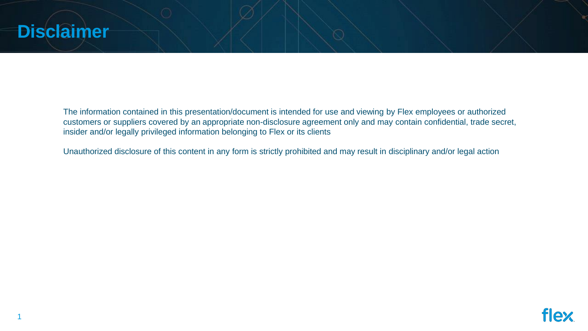## **Disclaimer**





The information contained in this presentation/document is intended for use and viewing by Flex employees or authorized customers or suppliers covered by an appropriate non-disclosure agreement only and may contain confidential, trade secret, insider and/or legally privileged information belonging to Flex or its clients

Unauthorized disclosure of this content in any form is strictly prohibited and may result in disciplinary and/or legal action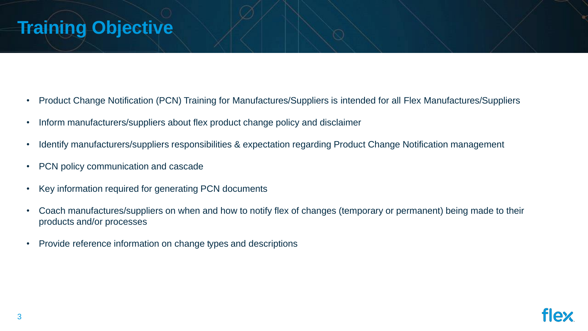## **Training Objective**





- Product Change Notification (PCN) Training for Manufactures/Suppliers is intended for all Flex Manufactures/Suppliers
- Inform manufacturers/suppliers about flex product change policy and disclaimer
- Identify manufacturers/suppliers responsibilities & expectation regarding Product Change Notification management
- PCN policy communication and cascade
- Key information required for generating PCN documents
- Coach manufactures/suppliers on when and how to notify flex of changes (temporary or permanent) being made to their products and/or processes
- Provide reference information on change types and descriptions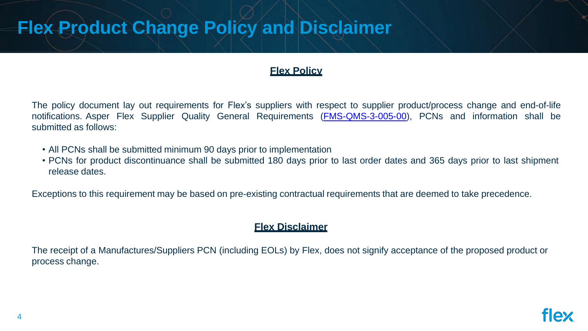## **Flex Product Change Policy and Disclaimer**





### **Flex Policy**

The policy document lay out requirements for Flex's suppliers with respect to supplier product/process change and end-of-life notifications. Asper Flex Supplier Quality General Requirements (**FMS-QMS-3-005-00**), PCNs and information shall be submitted as follows:

- All PCNs shall be submitted minimum 90 days prior to implementation
- PCNs for product discontinuance shall be submitted 180 days prior to last order dates and 365 days prior to last shipment release dates.

Exceptions to this requirement may be based on pre-existing contractual requirements that are deemed to take precedence.

### **Flex Disclaimer**

The receipt of a Manufactures/Suppliers PCN (including EOLs) by Flex, does not signify acceptance of the proposed product or process change.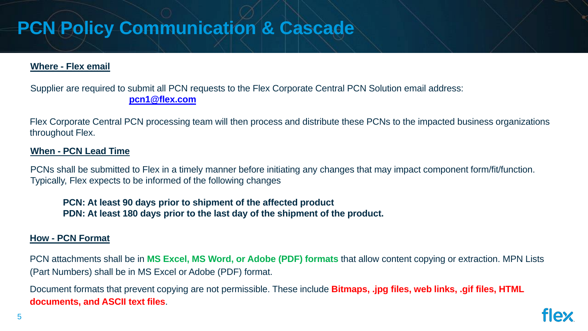## **PCN Policy Communication & Cascade**





### **Where - Flex email**

Supplier are required to submit all PCN requests to the Flex Corporate Central PCN Solution email address: **[pcn1@flex.com](mailto:pcn1@flex.com)**

Flex Corporate Central PCN processing team will then process and distribute these PCNs to the impacted business organizations throughout Flex.

### **When - PCN Lead Time**

PCNs shall be submitted to Flex in a timely manner before initiating any changes that may impact component form/fit/function. Typically, Flex expects to be informed of the following changes

**PCN: At least 90 days prior to shipment of the affected product PDN: At least 180 days prior to the last day of the shipment of the product.**

### **How - PCN Format**

PCN attachments shall be in **MS Excel, MS Word, or Adobe (PDF) formats** that allow content copying or extraction. MPN Lists (Part Numbers) shall be in MS Excel or Adobe (PDF) format.

Document formats that prevent copying are not permissible. These include **Bitmaps, .jpg files, web links, .gif files, HTML documents, and ASCII text files**.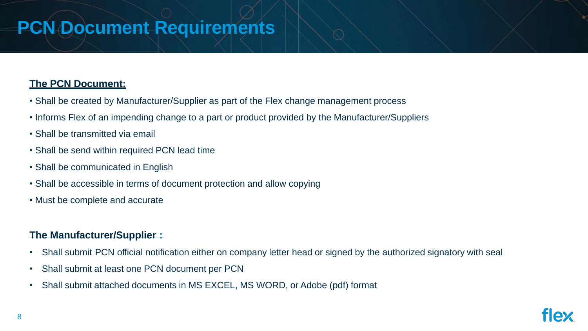## **PCN Document Requirements**

## **The PCN Document:**

- Shall be created by Manufacturer/Supplier as part of the Flex change management process
- Informs Flex of an impending change to a part or product provided by the Manufacturer/Suppliers
- Shall be transmitted via email
- Shall be send within required PCN lead time
- Shall be communicated in English
- Shall be accessible in terms of document protection and allow copying
- Must be complete and accurate

### **The Manufacturer/Supplier :**

- Shall submit PCN official notification either on company letter head or signed by the authorized signatory with seal
- Shall submit at least one PCN document per PCN
- Shall submit attached documents in MS EXCEL, MS WORD, or Adobe (pdf) format



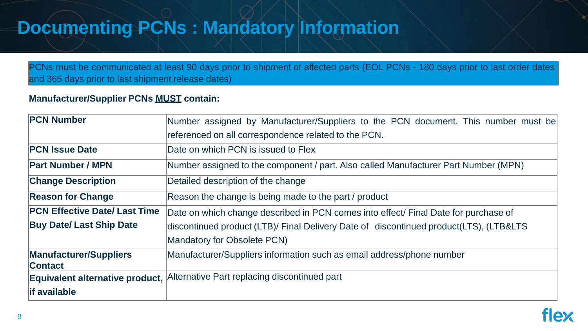## **Documenting PCNs : Mandatory Information**

# **PLACE** document. This number must be **acturer Part Number (MPN)** inal Date for purchase of ued product (LTS), (LTB&LTS)

hone number



PCNs must be communicated at least 90 days prior to shipment of affected parts (EOL PCNs - 180 days prior to last order dates and 365 days prior to last shipment release dates)

### **Manufacturer/Supplier PCNs MUST contain:**

| <b>PCN Number</b>                               | Number assigned by Manufacturer/Suppliers to the PCN          |
|-------------------------------------------------|---------------------------------------------------------------|
|                                                 | referenced on all correspondence related to the PCN.          |
| <b>PCN Issue Date</b>                           | Date on which PCN is issued to Flex                           |
| <b>Part Number / MPN</b>                        | Number assigned to the component / part. Also called Manufa   |
| <b>Change Description</b>                       | Detailed description of the change                            |
| <b>Reason for Change</b>                        | Reason the change is being made to the part / product         |
| <b>PCN Effective Date/ Last Time</b>            | Date on which change described in PCN comes into effect/ F    |
| <b>Buy Date/ Last Ship Date</b>                 | discontinued product (LTB)/ Final Delivery Date of discontinu |
|                                                 | <b>Mandatory for Obsolete PCN)</b>                            |
| <b>Manufacturer/Suppliers</b><br><b>Contact</b> | Manufacturer/Suppliers information such as email address/ph   |
| <b>Equivalent alternative product,</b>          | Alternative Part replacing discontinued part                  |
| <b>if available</b>                             |                                                               |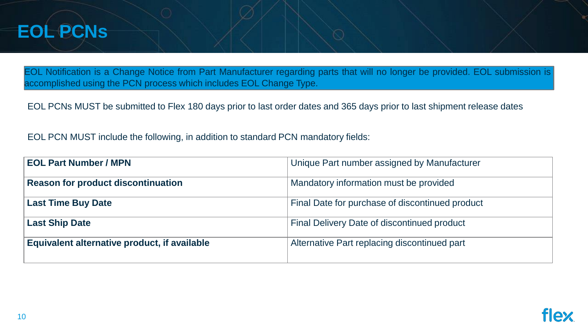## **EOL PCNs**

**by Manufacturer Re** provided **Last Continued** product **Lange Exercise Binued product Example Band part** 



EOL Notification is a Change Notice from Part Manufacturer regarding parts that will no longer be provided. EOL submission is accomplished using the PCN process which includes EOL Change Type.

EOL PCNs MUST be submitted to Flex 180 days prior to last order dates and 365 days prior to last shipment release dates

EOL PCN MUST include the following, in addition to standard PCN mandatory fields:

| <b>EOL Part Number / MPN</b>                 | Unique Part number assigned            |
|----------------------------------------------|----------------------------------------|
| <b>Reason for product discontinuation</b>    | Mandatory information must be          |
| <b>Last Time Buy Date</b>                    | Final Date for purchase of disc        |
| <b>Last Ship Date</b>                        | <b>Final Delivery Date of disconti</b> |
| Equivalent alternative product, if available | <b>Alternative Part replacing disc</b> |
|                                              |                                        |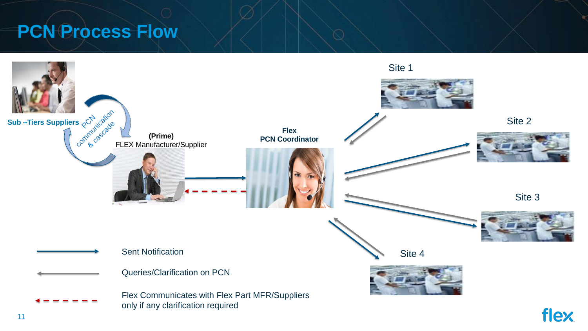## **PCN Process Flow**

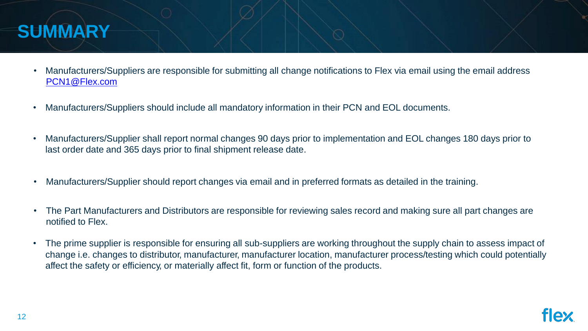## **SUMMARY**





- Manufacturers/Suppliers are responsible for submitting all change notifications to Flex via email using the email address [PCN1@Flex.com](mailto:PCN1@Flex.com)
- Manufacturers/Suppliers should include all mandatory information in their PCN and EOL documents.
- Manufacturers/Supplier shall report normal changes 90 days prior to implementation and EOL changes 180 days prior to last order date and 365 days prior to final shipment release date.
- Manufacturers/Supplier should report changes via email and in preferred formats as detailed in the training.
- The Part Manufacturers and Distributors are responsible for reviewing sales record and making sure all part changes are notified to Flex.
- The prime supplier is responsible for ensuring all sub-suppliers are working throughout the supply chain to assess impact of change i.e. changes to distributor, manufacturer, manufacturer location, manufacturer process/testing which could potentially affect the safety or efficiency, or materially affect fit, form or function of the products.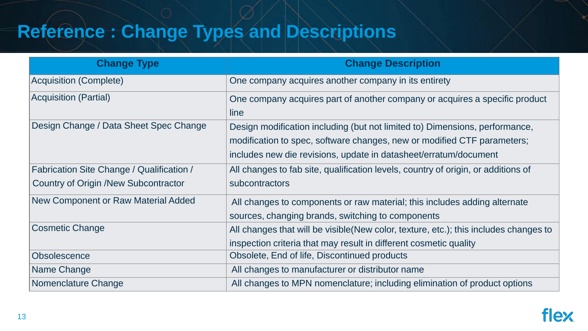## **Reference : Change Types and Descriptions**

any or acquires a specific product

to) Dimensions, performance,

or modified CTF parameters;

et/erratum/document

untry of origin, or additions of

this includes adding alternate

ture, etc.); this includes changes to

cosmetic quality

elimination of product options



| <b>Change Description</b>                                                                                                                                                       |
|---------------------------------------------------------------------------------------------------------------------------------------------------------------------------------|
| One company acquires another company in its entirety                                                                                                                            |
| One company acquires part of another company or acontact that the company or act<br>line                                                                                        |
| Design modification including (but not limited to) Dimer<br>modification to spec, software changes, new or modifient<br>includes new die revisions, update in datasheet/erratur |
| All changes to fab site, qualification levels, country of c<br>subcontractors                                                                                                   |
| All changes to components or raw material; this included<br>sources, changing brands, switching to components                                                                   |
| All changes that will be visible (New color, texture, etc.)<br>inspection criteria that may result in different cosmetic                                                        |
| Obsolete, End of life, Discontinued products                                                                                                                                    |
| All changes to manufacturer or distributor name                                                                                                                                 |
| All changes to MPN nomenclature; including elimination                                                                                                                          |
|                                                                                                                                                                                 |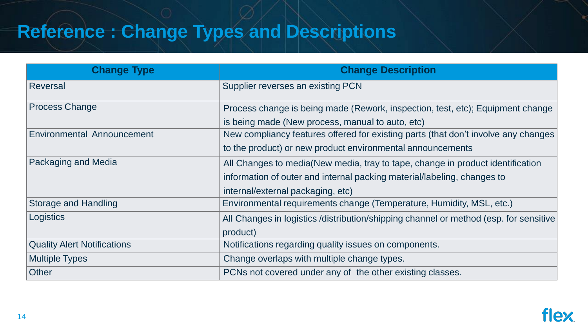## **Reference : Change Types and Descriptions**

- ction, test, etc); Equipment change
- arts (that don't involve any changes
- nnouncements
- change in product identification
- ial/labeling, changes to
- Storage Aumidity, MSL, etc.)
- hannel or method (esp. for sensitive

ting classes.



| <b>Change Type</b>                 | <b>Change Description</b>                               |
|------------------------------------|---------------------------------------------------------|
| <b>Reversal</b>                    | Supplier reverses an existing PCN                       |
| <b>Process Change</b>              | Process change is being made (Rework, inspection, t     |
|                                    | is being made (New process, manual to auto, etc)        |
| <b>Environmental Announcement</b>  | New compliancy features offered for existing parts (the |
|                                    | to the product) or new product environmental announe    |
| <b>Packaging and Media</b>         | All Changes to media(New media, tray to tape, chang     |
|                                    | information of outer and internal packing material/labe |
|                                    | internal/external packaging, etc)                       |
| <b>Storage and Handling</b>        | Environmental requirements change (Temperature, He      |
| Logistics                          | All Changes in logistics /distribution/shipping channel |
|                                    | product)                                                |
| <b>Quality Alert Notifications</b> | Notifications regarding quality issues on components.   |
| <b>Multiple Types</b>              | Change overlaps with multiple change types.             |
| <b>Other</b>                       | PCNs not covered under any of the other existing cla    |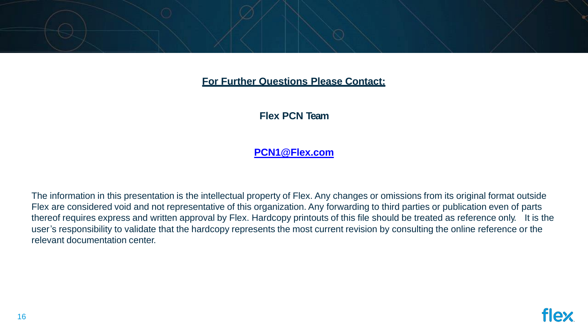### **For Further Questions Please Contact:**

### **Flex PCN Team**

### **[PCN1@Flex.com](mailto:PCN1@Flex.com)**



The information in this presentation is the intellectual property of Flex. Any changes or omissions from its original format outside Flex are considered void and not representative of this organization. Any forwarding to third parties or publication even of parts thereof requires express and written approval by Flex. Hardcopy printouts of this file should be treated as reference only. It is the user's responsibility to validate that the hardcopy represents the most current revision by consulting the online reference or the relevant documentation center.